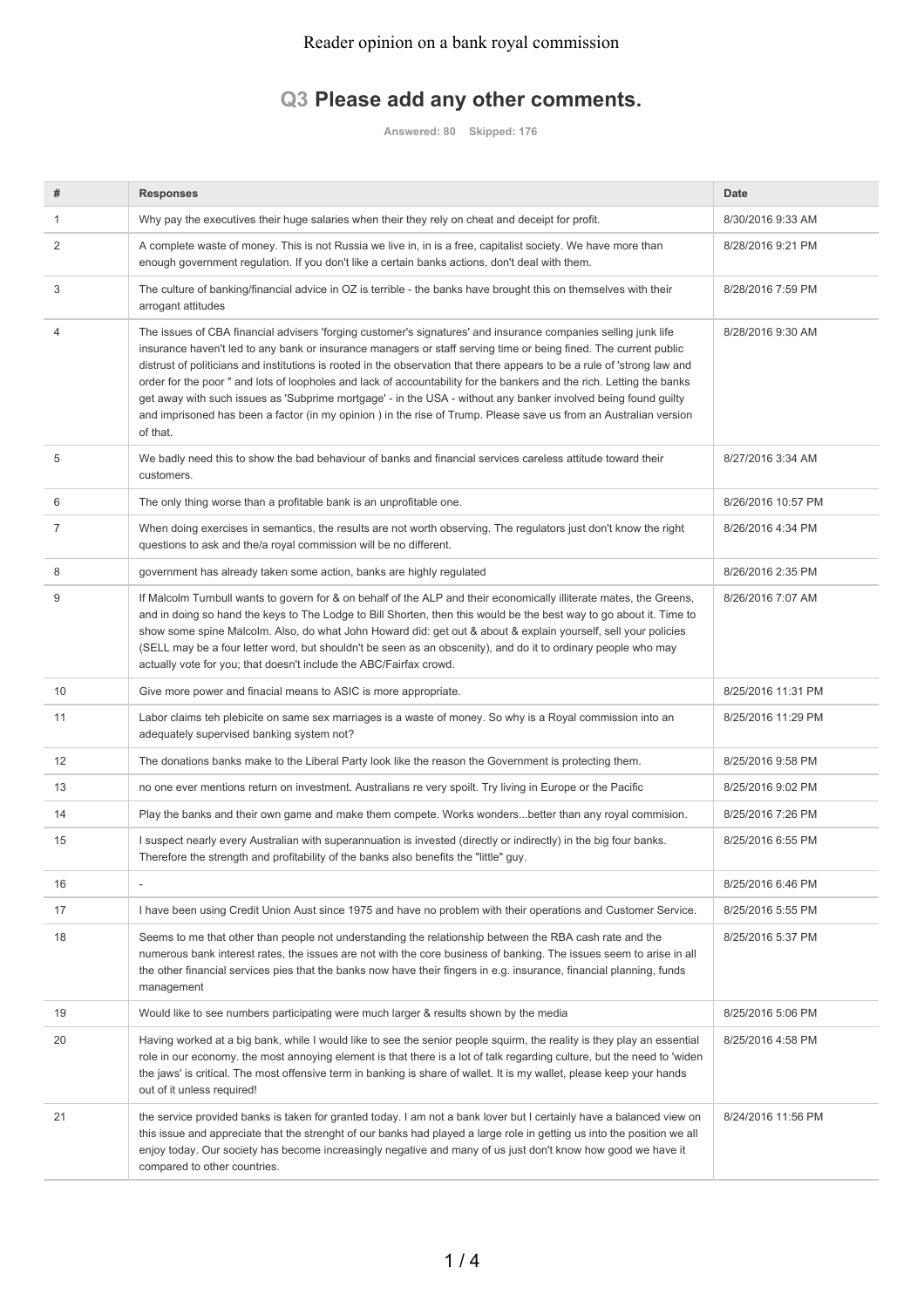## **Q3 Please add any other comments.**

**Answered: 80 Skipped: 176**

| #  | Responses                                                                                                                                                                                                                                                                                                                                                                                                                                                                                                                                                                                                                                                                                                                                 | <b>Date</b>        |
|----|-------------------------------------------------------------------------------------------------------------------------------------------------------------------------------------------------------------------------------------------------------------------------------------------------------------------------------------------------------------------------------------------------------------------------------------------------------------------------------------------------------------------------------------------------------------------------------------------------------------------------------------------------------------------------------------------------------------------------------------------|--------------------|
| 1  | Why pay the executives their huge salaries when their they rely on cheat and deceipt for profit.                                                                                                                                                                                                                                                                                                                                                                                                                                                                                                                                                                                                                                          | 8/30/2016 9:33 AM  |
| 2  | A complete waste of money. This is not Russia we live in, in is a free, capitalist society. We have more than<br>enough government regulation. If you don't like a certain banks actions, don't deal with them.                                                                                                                                                                                                                                                                                                                                                                                                                                                                                                                           | 8/28/2016 9:21 PM  |
| 3  | The culture of banking/financial advice in OZ is terrible - the banks have brought this on themselves with their<br>arrogant attitudes                                                                                                                                                                                                                                                                                                                                                                                                                                                                                                                                                                                                    | 8/28/2016 7:59 PM  |
| 4  | The issues of CBA financial advisers 'forging customer's signatures' and insurance companies selling junk life<br>insurance haven't led to any bank or insurance managers or staff serving time or being fined. The current public<br>distrust of politicians and institutions is rooted in the observation that there appears to be a rule of 'strong law and<br>order for the poor " and lots of loopholes and lack of accountability for the bankers and the rich. Letting the banks<br>get away with such issues as 'Subprime mortgage' - in the USA - without any banker involved being found quilty<br>and imprisoned has been a factor (in my opinion) in the rise of Trump. Please save us from an Australian version<br>of that. | 8/28/2016 9:30 AM  |
| 5  | We badly need this to show the bad behaviour of banks and financial services careless attitude toward their<br>customers.                                                                                                                                                                                                                                                                                                                                                                                                                                                                                                                                                                                                                 | 8/27/2016 3:34 AM  |
| 6  | The only thing worse than a profitable bank is an unprofitable one.                                                                                                                                                                                                                                                                                                                                                                                                                                                                                                                                                                                                                                                                       | 8/26/2016 10:57 PM |
| 7  | When doing exercises in semantics, the results are not worth observing. The regulators just don't know the right<br>questions to ask and the/a royal commission will be no different.                                                                                                                                                                                                                                                                                                                                                                                                                                                                                                                                                     | 8/26/2016 4:34 PM  |
| 8  | government has already taken some action, banks are highly regulated                                                                                                                                                                                                                                                                                                                                                                                                                                                                                                                                                                                                                                                                      | 8/26/2016 2:35 PM  |
| 9  | If Malcolm Turnbull wants to govern for & on behalf of the ALP and their economically illiterate mates, the Greens,<br>and in doing so hand the keys to The Lodge to Bill Shorten, then this would be the best way to go about it. Time to<br>show some spine Malcolm. Also, do what John Howard did: get out & about & explain yourself, sell your policies<br>(SELL may be a four letter word, but shouldn't be seen as an obscenity), and do it to ordinary people who may<br>actually vote for you; that doesn't include the ABC/Fairfax crowd.                                                                                                                                                                                       | 8/26/2016 7:07 AM  |
| 10 | Give more power and finacial means to ASIC is more appropriate.                                                                                                                                                                                                                                                                                                                                                                                                                                                                                                                                                                                                                                                                           | 8/25/2016 11:31 PM |
| 11 | Labor claims teh plebicite on same sex marriages is a waste of money. So why is a Royal commission into an<br>adequately supervised banking system not?                                                                                                                                                                                                                                                                                                                                                                                                                                                                                                                                                                                   | 8/25/2016 11:29 PM |
| 12 | The donations banks make to the Liberal Party look like the reason the Government is protecting them.                                                                                                                                                                                                                                                                                                                                                                                                                                                                                                                                                                                                                                     | 8/25/2016 9:58 PM  |
| 13 | no one ever mentions return on investment. Australians re very spoilt. Try living in Europe or the Pacific                                                                                                                                                                                                                                                                                                                                                                                                                                                                                                                                                                                                                                | 8/25/2016 9:02 PM  |
| 14 | Play the banks and their own game and make them compete. Works wondersbetter than any royal commision.                                                                                                                                                                                                                                                                                                                                                                                                                                                                                                                                                                                                                                    | 8/25/2016 7:26 PM  |
| 15 | I suspect nearly every Australian with superannuation is invested (directly or indirectly) in the big four banks.<br>Therefore the strength and profitability of the banks also benefits the "little" guy.                                                                                                                                                                                                                                                                                                                                                                                                                                                                                                                                | 8/25/2016 6:55 PM  |
| 16 |                                                                                                                                                                                                                                                                                                                                                                                                                                                                                                                                                                                                                                                                                                                                           | 8/25/2016 6:46 PM  |
| 17 | I have been using Credit Union Aust since 1975 and have no problem with their operations and Customer Service.                                                                                                                                                                                                                                                                                                                                                                                                                                                                                                                                                                                                                            | 8/25/2016 5:55 PM  |
| 18 | Seems to me that other than people not understanding the relationship between the RBA cash rate and the<br>numerous bank interest rates, the issues are not with the core business of banking. The issues seem to arise in all<br>the other financial services pies that the banks now have their fingers in e.g. insurance, financial planning, funds<br>management                                                                                                                                                                                                                                                                                                                                                                      | 8/25/2016 5:37 PM  |
| 19 | Would like to see numbers participating were much larger & results shown by the media                                                                                                                                                                                                                                                                                                                                                                                                                                                                                                                                                                                                                                                     | 8/25/2016 5:06 PM  |
| 20 | Having worked at a big bank, while I would like to see the senior people squirm, the reality is they play an essential<br>role in our economy, the most annoying element is that there is a lot of talk regarding culture, but the need to 'widen<br>the jaws' is critical. The most offensive term in banking is share of wallet. It is my wallet, please keep your hands<br>out of it unless required!                                                                                                                                                                                                                                                                                                                                  | 8/25/2016 4:58 PM  |
| 21 | the service provided banks is taken for granted today. I am not a bank lover but I certainly have a balanced view on<br>this issue and appreciate that the strenght of our banks had played a large role in getting us into the position we all<br>enjoy today. Our society has become increasingly negative and many of us just don't know how good we have it<br>compared to other countries.                                                                                                                                                                                                                                                                                                                                           | 8/24/2016 11:56 PM |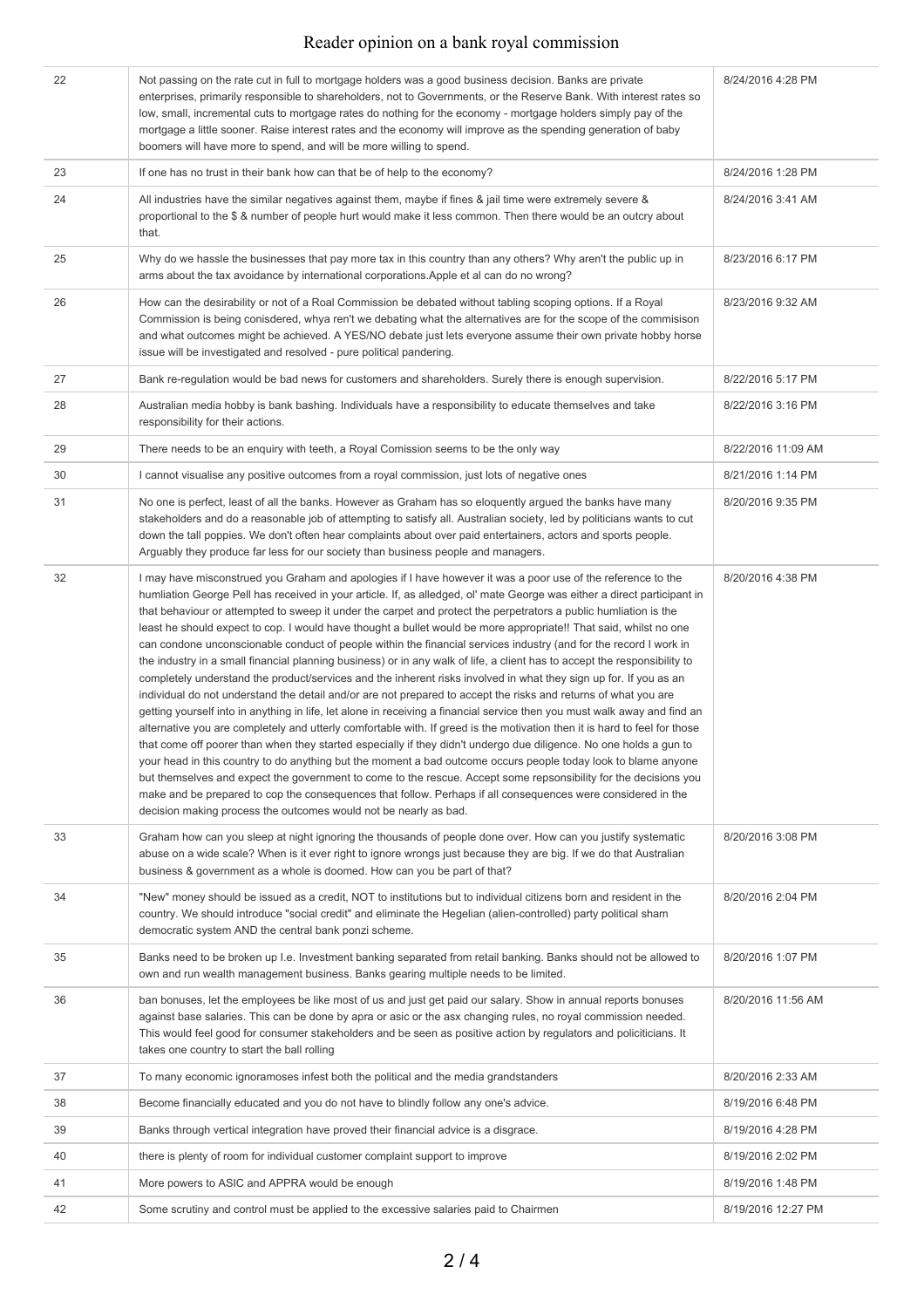## Reader opinion on a bank royal commission

| 22 | Not passing on the rate cut in full to mortgage holders was a good business decision. Banks are private<br>enterprises, primarily responsible to shareholders, not to Governments, or the Reserve Bank. With interest rates so<br>low, small, incremental cuts to mortgage rates do nothing for the economy - mortgage holders simply pay of the<br>mortgage a little sooner. Raise interest rates and the economy will improve as the spending generation of baby<br>boomers will have more to spend, and will be more willing to spend.                                                                                                                                                                                                                                                                                                                                                                                                                                                                                                                                                                                                                                                                                                                                                                                                                                                                                                                                                                                                                                                                                                                                                                                                                                             | 8/24/2016 4:28 PM  |
|----|---------------------------------------------------------------------------------------------------------------------------------------------------------------------------------------------------------------------------------------------------------------------------------------------------------------------------------------------------------------------------------------------------------------------------------------------------------------------------------------------------------------------------------------------------------------------------------------------------------------------------------------------------------------------------------------------------------------------------------------------------------------------------------------------------------------------------------------------------------------------------------------------------------------------------------------------------------------------------------------------------------------------------------------------------------------------------------------------------------------------------------------------------------------------------------------------------------------------------------------------------------------------------------------------------------------------------------------------------------------------------------------------------------------------------------------------------------------------------------------------------------------------------------------------------------------------------------------------------------------------------------------------------------------------------------------------------------------------------------------------------------------------------------------|--------------------|
| 23 | If one has no trust in their bank how can that be of help to the economy?                                                                                                                                                                                                                                                                                                                                                                                                                                                                                                                                                                                                                                                                                                                                                                                                                                                                                                                                                                                                                                                                                                                                                                                                                                                                                                                                                                                                                                                                                                                                                                                                                                                                                                             | 8/24/2016 1:28 PM  |
| 24 | All industries have the similar negatives against them, maybe if fines & jail time were extremely severe &<br>proportional to the \$ & number of people hurt would make it less common. Then there would be an outcry about<br>that.                                                                                                                                                                                                                                                                                                                                                                                                                                                                                                                                                                                                                                                                                                                                                                                                                                                                                                                                                                                                                                                                                                                                                                                                                                                                                                                                                                                                                                                                                                                                                  | 8/24/2016 3:41 AM  |
| 25 | Why do we hassle the businesses that pay more tax in this country than any others? Why aren't the public up in<br>arms about the tax avoidance by international corporations. Apple et al can do no wrong?                                                                                                                                                                                                                                                                                                                                                                                                                                                                                                                                                                                                                                                                                                                                                                                                                                                                                                                                                                                                                                                                                                                                                                                                                                                                                                                                                                                                                                                                                                                                                                            | 8/23/2016 6:17 PM  |
| 26 | How can the desirability or not of a Roal Commission be debated without tabling scoping options. If a Royal<br>Commission is being conisdered, whya ren't we debating what the alternatives are for the scope of the commisison<br>and what outcomes might be achieved. A YES/NO debate just lets everyone assume their own private hobby horse<br>issue will be investigated and resolved - pure political pandering.                                                                                                                                                                                                                                                                                                                                                                                                                                                                                                                                                                                                                                                                                                                                                                                                                                                                                                                                                                                                                                                                                                                                                                                                                                                                                                                                                                | 8/23/2016 9:32 AM  |
| 27 | Bank re-regulation would be bad news for customers and shareholders. Surely there is enough supervision.                                                                                                                                                                                                                                                                                                                                                                                                                                                                                                                                                                                                                                                                                                                                                                                                                                                                                                                                                                                                                                                                                                                                                                                                                                                                                                                                                                                                                                                                                                                                                                                                                                                                              | 8/22/2016 5:17 PM  |
| 28 | Australian media hobby is bank bashing. Individuals have a responsibility to educate themselves and take<br>responsibility for their actions.                                                                                                                                                                                                                                                                                                                                                                                                                                                                                                                                                                                                                                                                                                                                                                                                                                                                                                                                                                                                                                                                                                                                                                                                                                                                                                                                                                                                                                                                                                                                                                                                                                         | 8/22/2016 3:16 PM  |
| 29 | There needs to be an enquiry with teeth, a Royal Comission seems to be the only way                                                                                                                                                                                                                                                                                                                                                                                                                                                                                                                                                                                                                                                                                                                                                                                                                                                                                                                                                                                                                                                                                                                                                                                                                                                                                                                                                                                                                                                                                                                                                                                                                                                                                                   | 8/22/2016 11:09 AM |
| 30 | I cannot visualise any positive outcomes from a royal commission, just lots of negative ones                                                                                                                                                                                                                                                                                                                                                                                                                                                                                                                                                                                                                                                                                                                                                                                                                                                                                                                                                                                                                                                                                                                                                                                                                                                                                                                                                                                                                                                                                                                                                                                                                                                                                          | 8/21/2016 1:14 PM  |
| 31 | No one is perfect, least of all the banks. However as Graham has so eloquently argued the banks have many<br>stakeholders and do a reasonable job of attempting to satisfy all. Australian society, led by politicians wants to cut<br>down the tall poppies. We don't often hear complaints about over paid entertainers, actors and sports people.<br>Arguably they produce far less for our society than business people and managers.                                                                                                                                                                                                                                                                                                                                                                                                                                                                                                                                                                                                                                                                                                                                                                                                                                                                                                                                                                                                                                                                                                                                                                                                                                                                                                                                             | 8/20/2016 9:35 PM  |
| 32 | I may have misconstrued you Graham and apologies if I have however it was a poor use of the reference to the<br>humliation George Pell has received in your article. If, as alledged, ol' mate George was either a direct participant in<br>that behaviour or attempted to sweep it under the carpet and protect the perpetrators a public humliation is the<br>least he should expect to cop. I would have thought a bullet would be more appropriate!! That said, whilst no one<br>can condone unconscionable conduct of people within the financial services industry (and for the record I work in<br>the industry in a small financial planning business) or in any walk of life, a client has to accept the responsibility to<br>completely understand the product/services and the inherent risks involved in what they sign up for. If you as an<br>individual do not understand the detail and/or are not prepared to accept the risks and returns of what you are<br>getting yourself into in anything in life, let alone in receiving a financial service then you must walk away and find an<br>alternative you are completely and utterly comfortable with. If greed is the motivation then it is hard to feel for those<br>that come off poorer than when they started especially if they didn't undergo due diligence. No one holds a gun to<br>your head in this country to do anything but the moment a bad outcome occurs people today look to blame anyone<br>but themselves and expect the government to come to the rescue. Accept some repsonsibility for the decisions you<br>make and be prepared to cop the consequences that follow. Perhaps if all consequences were considered in the<br>decision making process the outcomes would not be nearly as bad. | 8/20/2016 4:38 PM  |
| 33 | Graham how can you sleep at night ignoring the thousands of people done over. How can you justify systematic<br>abuse on a wide scale? When is it ever right to ignore wrongs just because they are big. If we do that Australian<br>business & government as a whole is doomed. How can you be part of that?                                                                                                                                                                                                                                                                                                                                                                                                                                                                                                                                                                                                                                                                                                                                                                                                                                                                                                                                                                                                                                                                                                                                                                                                                                                                                                                                                                                                                                                                         | 8/20/2016 3:08 PM  |
| 34 | "New" money should be issued as a credit, NOT to institutions but to individual citizens born and resident in the<br>country. We should introduce "social credit" and eliminate the Hegelian (alien-controlled) party political sham<br>democratic system AND the central bank ponzi scheme.                                                                                                                                                                                                                                                                                                                                                                                                                                                                                                                                                                                                                                                                                                                                                                                                                                                                                                                                                                                                                                                                                                                                                                                                                                                                                                                                                                                                                                                                                          | 8/20/2016 2:04 PM  |
| 35 | Banks need to be broken up I.e. Investment banking separated from retail banking. Banks should not be allowed to<br>own and run wealth management business. Banks gearing multiple needs to be limited.                                                                                                                                                                                                                                                                                                                                                                                                                                                                                                                                                                                                                                                                                                                                                                                                                                                                                                                                                                                                                                                                                                                                                                                                                                                                                                                                                                                                                                                                                                                                                                               | 8/20/2016 1:07 PM  |
| 36 | ban bonuses, let the employees be like most of us and just get paid our salary. Show in annual reports bonuses<br>against base salaries. This can be done by apra or asic or the asx changing rules, no royal commission needed.<br>This would feel good for consumer stakeholders and be seen as positive action by regulators and policiticians. It<br>takes one country to start the ball rolling                                                                                                                                                                                                                                                                                                                                                                                                                                                                                                                                                                                                                                                                                                                                                                                                                                                                                                                                                                                                                                                                                                                                                                                                                                                                                                                                                                                  | 8/20/2016 11:56 AM |
| 37 | To many economic ignoramoses infest both the political and the media grandstanders                                                                                                                                                                                                                                                                                                                                                                                                                                                                                                                                                                                                                                                                                                                                                                                                                                                                                                                                                                                                                                                                                                                                                                                                                                                                                                                                                                                                                                                                                                                                                                                                                                                                                                    | 8/20/2016 2:33 AM  |
| 38 | Become financially educated and you do not have to blindly follow any one's advice.                                                                                                                                                                                                                                                                                                                                                                                                                                                                                                                                                                                                                                                                                                                                                                                                                                                                                                                                                                                                                                                                                                                                                                                                                                                                                                                                                                                                                                                                                                                                                                                                                                                                                                   | 8/19/2016 6:48 PM  |
| 39 | Banks through vertical integration have proved their financial advice is a disgrace.                                                                                                                                                                                                                                                                                                                                                                                                                                                                                                                                                                                                                                                                                                                                                                                                                                                                                                                                                                                                                                                                                                                                                                                                                                                                                                                                                                                                                                                                                                                                                                                                                                                                                                  | 8/19/2016 4:28 PM  |
| 40 | there is plenty of room for individual customer complaint support to improve                                                                                                                                                                                                                                                                                                                                                                                                                                                                                                                                                                                                                                                                                                                                                                                                                                                                                                                                                                                                                                                                                                                                                                                                                                                                                                                                                                                                                                                                                                                                                                                                                                                                                                          | 8/19/2016 2:02 PM  |
| 41 | More powers to ASIC and APPRA would be enough                                                                                                                                                                                                                                                                                                                                                                                                                                                                                                                                                                                                                                                                                                                                                                                                                                                                                                                                                                                                                                                                                                                                                                                                                                                                                                                                                                                                                                                                                                                                                                                                                                                                                                                                         | 8/19/2016 1:48 PM  |
| 42 | Some scrutiny and control must be applied to the excessive salaries paid to Chairmen                                                                                                                                                                                                                                                                                                                                                                                                                                                                                                                                                                                                                                                                                                                                                                                                                                                                                                                                                                                                                                                                                                                                                                                                                                                                                                                                                                                                                                                                                                                                                                                                                                                                                                  | 8/19/2016 12:27 PM |
|    |                                                                                                                                                                                                                                                                                                                                                                                                                                                                                                                                                                                                                                                                                                                                                                                                                                                                                                                                                                                                                                                                                                                                                                                                                                                                                                                                                                                                                                                                                                                                                                                                                                                                                                                                                                                       |                    |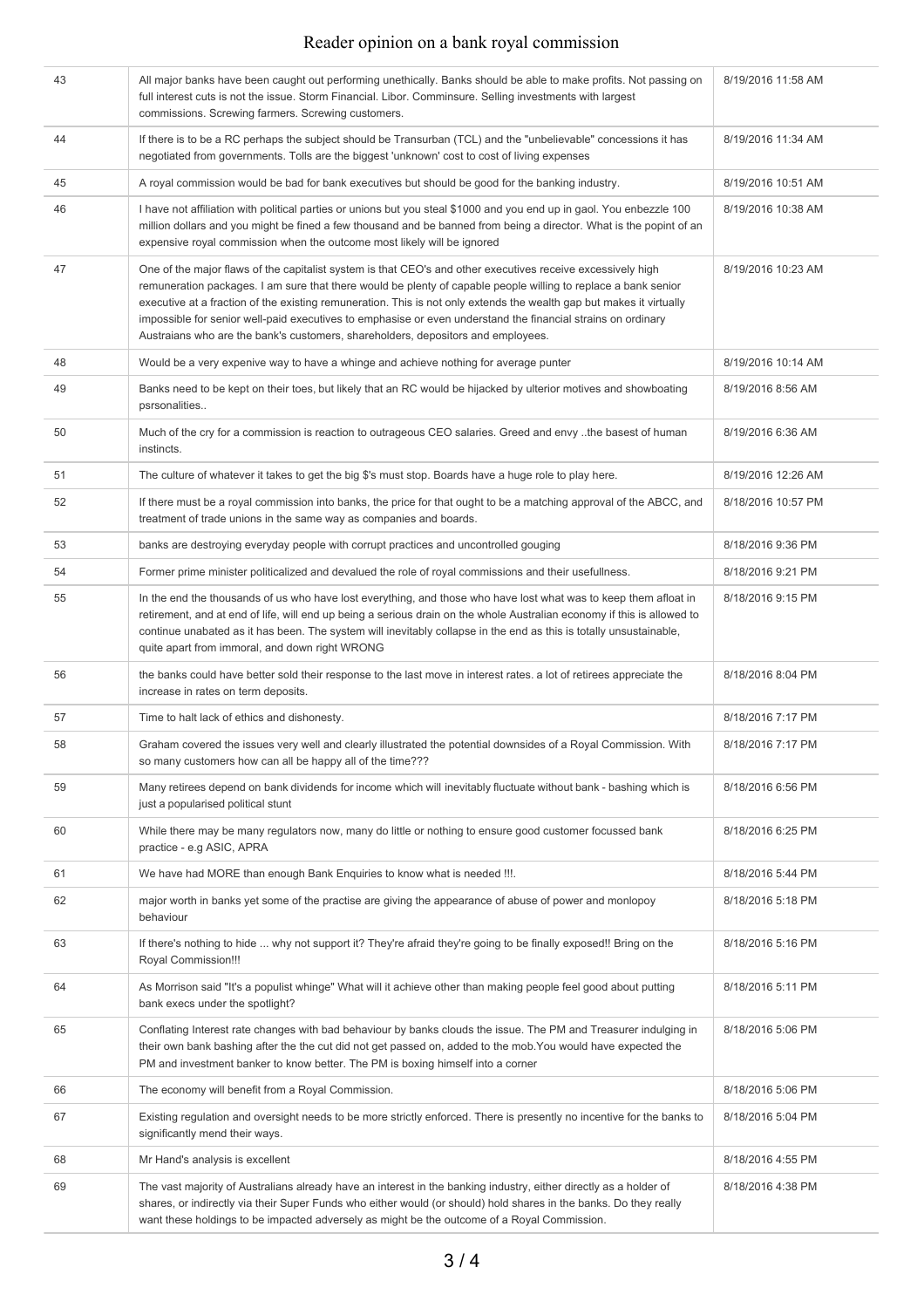## Reader opinion on a bank royal commission

| 43 | All major banks have been caught out performing unethically. Banks should be able to make profits. Not passing on<br>full interest cuts is not the issue. Storm Financial. Libor. Comminsure. Selling investments with largest<br>commissions. Screwing farmers. Screwing customers.                                                                                                                                                                                                                                                                      | 8/19/2016 11:58 AM |
|----|-----------------------------------------------------------------------------------------------------------------------------------------------------------------------------------------------------------------------------------------------------------------------------------------------------------------------------------------------------------------------------------------------------------------------------------------------------------------------------------------------------------------------------------------------------------|--------------------|
| 44 | If there is to be a RC perhaps the subject should be Transurban (TCL) and the "unbelievable" concessions it has<br>negotiated from governments. Tolls are the biggest 'unknown' cost to cost of living expenses                                                                                                                                                                                                                                                                                                                                           | 8/19/2016 11:34 AM |
| 45 | A royal commission would be bad for bank executives but should be good for the banking industry.                                                                                                                                                                                                                                                                                                                                                                                                                                                          | 8/19/2016 10:51 AM |
| 46 | I have not affiliation with political parties or unions but you steal \$1000 and you end up in gaol. You enbezzle 100<br>million dollars and you might be fined a few thousand and be banned from being a director. What is the popint of an<br>expensive royal commission when the outcome most likely will be ignored                                                                                                                                                                                                                                   | 8/19/2016 10:38 AM |
| 47 | One of the major flaws of the capitalist system is that CEO's and other executives receive excessively high<br>remuneration packages. I am sure that there would be plenty of capable people willing to replace a bank senior<br>executive at a fraction of the existing remuneration. This is not only extends the wealth gap but makes it virtually<br>impossible for senior well-paid executives to emphasise or even understand the financial strains on ordinary<br>Austraians who are the bank's customers, shareholders, depositors and employees. | 8/19/2016 10:23 AM |
| 48 | Would be a very expenive way to have a whinge and achieve nothing for average punter                                                                                                                                                                                                                                                                                                                                                                                                                                                                      | 8/19/2016 10:14 AM |
| 49 | Banks need to be kept on their toes, but likely that an RC would be hijacked by ulterior motives and showboating<br>psrsonalities                                                                                                                                                                                                                                                                                                                                                                                                                         | 8/19/2016 8:56 AM  |
| 50 | Much of the cry for a commission is reaction to outrageous CEO salaries. Greed and envy the basest of human<br>instincts.                                                                                                                                                                                                                                                                                                                                                                                                                                 | 8/19/2016 6:36 AM  |
| 51 | The culture of whatever it takes to get the big \$'s must stop. Boards have a huge role to play here.                                                                                                                                                                                                                                                                                                                                                                                                                                                     | 8/19/2016 12:26 AM |
| 52 | If there must be a royal commission into banks, the price for that ought to be a matching approval of the ABCC, and<br>treatment of trade unions in the same way as companies and boards.                                                                                                                                                                                                                                                                                                                                                                 | 8/18/2016 10:57 PM |
| 53 | banks are destroying everyday people with corrupt practices and uncontrolled gouging                                                                                                                                                                                                                                                                                                                                                                                                                                                                      | 8/18/2016 9:36 PM  |
| 54 | Former prime minister politicalized and devalued the role of royal commissions and their usefullness.                                                                                                                                                                                                                                                                                                                                                                                                                                                     | 8/18/2016 9:21 PM  |
| 55 | In the end the thousands of us who have lost everything, and those who have lost what was to keep them afloat in<br>retirement, and at end of life, will end up being a serious drain on the whole Australian economy if this is allowed to<br>continue unabated as it has been. The system will inevitably collapse in the end as this is totally unsustainable,<br>quite apart from immoral, and down right WRONG                                                                                                                                       | 8/18/2016 9:15 PM  |
| 56 | the banks could have better sold their response to the last move in interest rates, a lot of retirees appreciate the<br>increase in rates on term deposits.                                                                                                                                                                                                                                                                                                                                                                                               | 8/18/2016 8:04 PM  |
| 57 | Time to halt lack of ethics and dishonesty.                                                                                                                                                                                                                                                                                                                                                                                                                                                                                                               | 8/18/2016 7:17 PM  |
| 58 | Graham covered the issues very well and clearly illustrated the potential downsides of a Royal Commission. With<br>so many customers how can all be happy all of the time???                                                                                                                                                                                                                                                                                                                                                                              | 8/18/2016 7:17 PM  |
| 59 | Many retirees depend on bank dividends for income which will inevitably fluctuate without bank - bashing which is<br>just a popularised political stunt                                                                                                                                                                                                                                                                                                                                                                                                   | 8/18/2016 6:56 PM  |
| 60 | While there may be many regulators now, many do little or nothing to ensure good customer focussed bank<br>practice - e.g ASIC, APRA                                                                                                                                                                                                                                                                                                                                                                                                                      | 8/18/2016 6:25 PM  |
| 61 | We have had MORE than enough Bank Enquiries to know what is needed !!!.                                                                                                                                                                                                                                                                                                                                                                                                                                                                                   | 8/18/2016 5:44 PM  |
| 62 | major worth in banks yet some of the practise are giving the appearance of abuse of power and monlopoy<br>behaviour                                                                                                                                                                                                                                                                                                                                                                                                                                       | 8/18/2016 5:18 PM  |
| 63 | If there's nothing to hide  why not support it? They're afraid they're going to be finally exposed!! Bring on the<br>Royal Commission!!!                                                                                                                                                                                                                                                                                                                                                                                                                  | 8/18/2016 5:16 PM  |
| 64 | As Morrison said "It's a populist whinge" What will it achieve other than making people feel good about putting<br>bank execs under the spotlight?                                                                                                                                                                                                                                                                                                                                                                                                        | 8/18/2016 5:11 PM  |
| 65 | Conflating Interest rate changes with bad behaviour by banks clouds the issue. The PM and Treasurer indulging in<br>their own bank bashing after the the cut did not get passed on, added to the mob. You would have expected the<br>PM and investment banker to know better. The PM is boxing himself into a corner                                                                                                                                                                                                                                      | 8/18/2016 5:06 PM  |
| 66 | The economy will benefit from a Royal Commission.                                                                                                                                                                                                                                                                                                                                                                                                                                                                                                         | 8/18/2016 5:06 PM  |
| 67 | Existing regulation and oversight needs to be more strictly enforced. There is presently no incentive for the banks to<br>significantly mend their ways.                                                                                                                                                                                                                                                                                                                                                                                                  | 8/18/2016 5:04 PM  |
| 68 | Mr Hand's analysis is excellent                                                                                                                                                                                                                                                                                                                                                                                                                                                                                                                           | 8/18/2016 4:55 PM  |
| 69 | The vast majority of Australians already have an interest in the banking industry, either directly as a holder of<br>shares, or indirectly via their Super Funds who either would (or should) hold shares in the banks. Do they really<br>want these holdings to be impacted adversely as might be the outcome of a Royal Commission.                                                                                                                                                                                                                     | 8/18/2016 4:38 PM  |